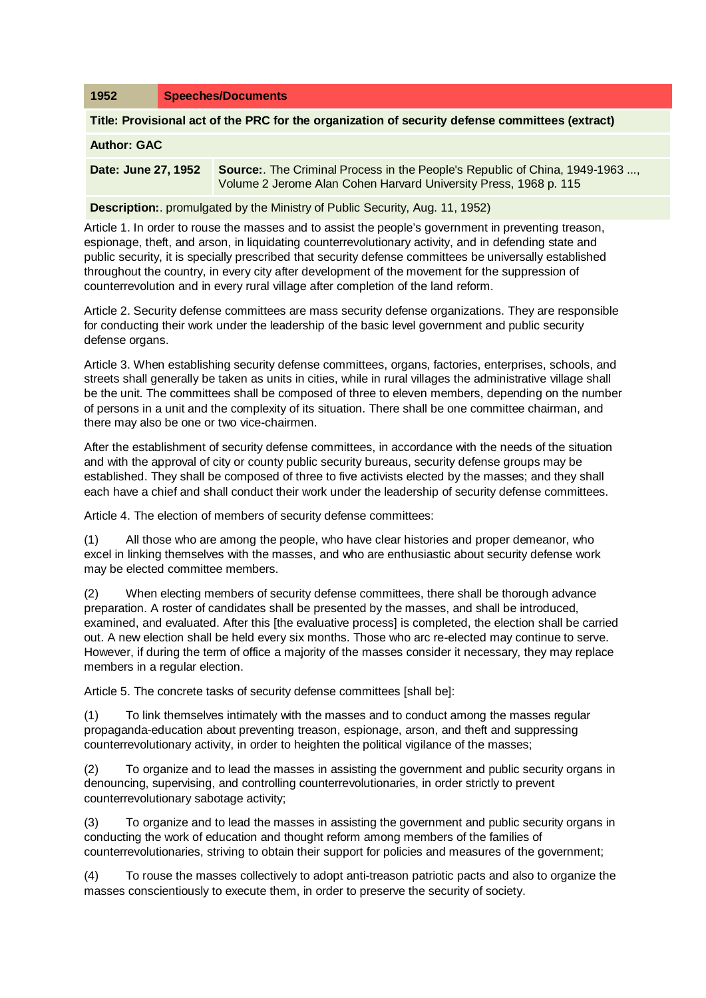| 1952                                                                                            | <b>Speeches/Documents</b> |                                                                                                                                                 |
|-------------------------------------------------------------------------------------------------|---------------------------|-------------------------------------------------------------------------------------------------------------------------------------------------|
| Title: Provisional act of the PRC for the organization of security defense committees (extract) |                           |                                                                                                                                                 |
| <b>Author: GAC</b>                                                                              |                           |                                                                                                                                                 |
| Date: June 27, 1952                                                                             |                           | Source: The Criminal Process in the People's Republic of China, 1949-1963 ,<br>Volume 2 Jerome Alan Cohen Harvard University Press, 1968 p. 115 |
| <b>Description:</b> promulgated by the Ministry of Public Security, Aug. 11, 1952)              |                           |                                                                                                                                                 |

Article 1. In order to rouse the masses and to assist the people's government in preventing treason, espionage, theft, and arson, in liquidating counterrevolutionary activity, and in defending state and public security, it is specially prescribed that security defense committees be universally established throughout the country, in every city after development of the movement for the suppression of counterrevolution and in every rural village after completion of the land reform.

Article 2. Security defense committees are mass security defense organizations. They are responsible for conducting their work under the leadership of the basic level government and public security defense organs.

Article 3. When establishing security defense committees, organs, factories, enterprises, schools, and streets shall generally be taken as units in cities, while in rural villages the administrative village shall be the unit. The committees shall be composed of three to eleven members, depending on the number of persons in a unit and the complexity of its situation. There shall be one committee chairman, and there may also be one or two vice-chairmen.

After the establishment of security defense committees, in accordance with the needs of the situation and with the approval of city or county public security bureaus, security defense groups may be established. They shall be composed of three to five activists elected by the masses; and they shall each have a chief and shall conduct their work under the leadership of security defense committees.

Article 4. The election of members of security defense committees:

(1) All those who are among the people, who have clear histories and proper demeanor, who excel in linking themselves with the masses, and who are enthusiastic about security defense work may be elected committee members.

(2) When electing members of security defense committees, there shall be thorough advance preparation. A roster of candidates shall be presented by the masses, and shall be introduced, examined, and evaluated. After this [the evaluative process] is completed, the election shall be carried out. A new election shall be held every six months. Those who arc re-elected may continue to serve. However, if during the term of office a majority of the masses consider it necessary, they may replace members in a regular election.

Article 5. The concrete tasks of security defense committees [shall be]:

(1) To link themselves intimately with the masses and to conduct among the masses regular propaganda-education about preventing treason, espionage, arson, and theft and suppressing counterrevolutionary activity, in order to heighten the political vigilance of the masses;

(2) To organize and to lead the masses in assisting the government and public security organs in denouncing, supervising, and controlling counterrevolutionaries, in order strictly to prevent counterrevolutionary sabotage activity;

(3) To organize and to lead the masses in assisting the government and public security organs in conducting the work of education and thought reform among members of the families of counterrevolutionaries, striving to obtain their support for policies and measures of the government;

(4) To rouse the masses collectively to adopt anti-treason patriotic pacts and also to organize the masses conscientiously to execute them, in order to preserve the security of society.